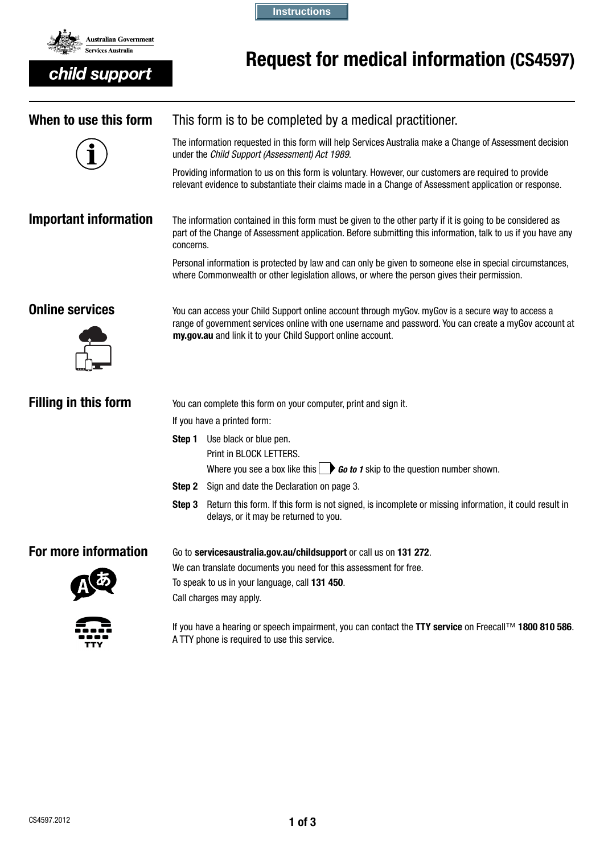

child support

**Instructions**

# Request for medical information (CS4597)

| When to use this form        | This form is to be completed by a medical practitioner.                                                                                                                                                                                                                   |                                                                                                                                                                                                                 |  |  |
|------------------------------|---------------------------------------------------------------------------------------------------------------------------------------------------------------------------------------------------------------------------------------------------------------------------|-----------------------------------------------------------------------------------------------------------------------------------------------------------------------------------------------------------------|--|--|
|                              | The information requested in this form will help Services Australia make a Change of Assessment decision<br>under the Child Support (Assessment) Act 1989.                                                                                                                |                                                                                                                                                                                                                 |  |  |
|                              |                                                                                                                                                                                                                                                                           | Providing information to us on this form is voluntary. However, our customers are required to provide<br>relevant evidence to substantiate their claims made in a Change of Assessment application or response. |  |  |
| <b>Important information</b> | The information contained in this form must be given to the other party if it is going to be considered as<br>part of the Change of Assessment application. Before submitting this information, talk to us if you have any<br>concerns.                                   |                                                                                                                                                                                                                 |  |  |
|                              | Personal information is protected by law and can only be given to someone else in special circumstances,<br>where Commonwealth or other legislation allows, or where the person gives their permission.                                                                   |                                                                                                                                                                                                                 |  |  |
| <b>Online services</b>       | You can access your Child Support online account through myGov. myGov is a secure way to access a<br>range of government services online with one username and password. You can create a myGov account at<br>my.gov.au and link it to your Child Support online account. |                                                                                                                                                                                                                 |  |  |
| <b>Filling in this form</b>  | You can complete this form on your computer, print and sign it.                                                                                                                                                                                                           |                                                                                                                                                                                                                 |  |  |
|                              | If you have a printed form:                                                                                                                                                                                                                                               |                                                                                                                                                                                                                 |  |  |
|                              | Use black or blue pen.<br>Step 1                                                                                                                                                                                                                                          |                                                                                                                                                                                                                 |  |  |
|                              |                                                                                                                                                                                                                                                                           | Print in BLOCK LETTERS.                                                                                                                                                                                         |  |  |
|                              |                                                                                                                                                                                                                                                                           | Where you see a box like this $\Box$ <b>Go to 1</b> skip to the question number shown.                                                                                                                          |  |  |
|                              | Step 2                                                                                                                                                                                                                                                                    | Sign and date the Declaration on page 3.                                                                                                                                                                        |  |  |
|                              | Step 3                                                                                                                                                                                                                                                                    | Return this form. If this form is not signed, is incomplete or missing information, it could result in<br>delays, or it may be returned to you.                                                                 |  |  |
| For more information         | Go to servicesaustralia.gov.au/childsupport or call us on 131 272.                                                                                                                                                                                                        |                                                                                                                                                                                                                 |  |  |
|                              | We can translate documents you need for this assessment for free.                                                                                                                                                                                                         |                                                                                                                                                                                                                 |  |  |
|                              | To speak to us in your language, call 131 450.<br>Call charges may apply.                                                                                                                                                                                                 |                                                                                                                                                                                                                 |  |  |
| TTY                          | If you have a hearing or speech impairment, you can contact the TTY service on Freecall™ 1800 810 586.<br>A TTY phone is required to use this service.                                                                                                                    |                                                                                                                                                                                                                 |  |  |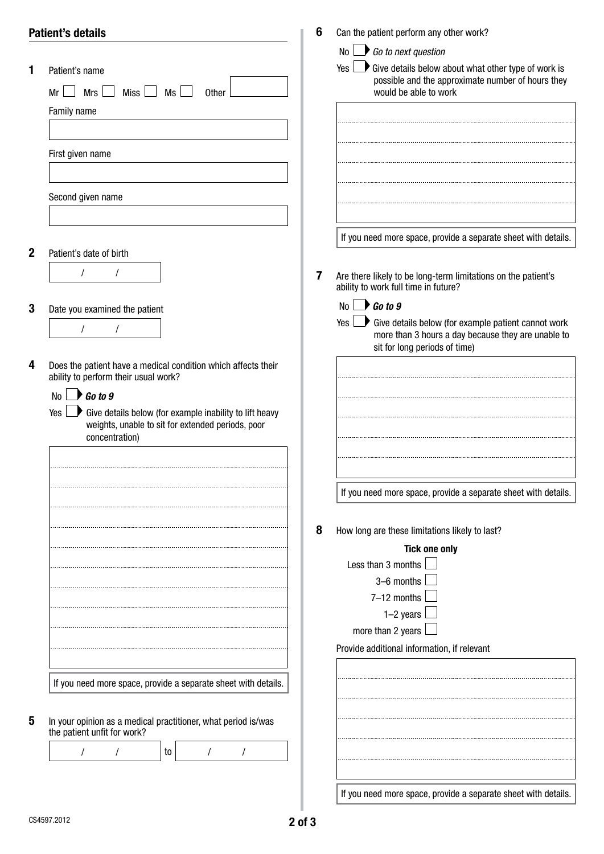|             | <b>Patient's details</b>                                                             | 6 | Can the patient perform any other work?                                                                                                                    |
|-------------|--------------------------------------------------------------------------------------|---|------------------------------------------------------------------------------------------------------------------------------------------------------------|
|             |                                                                                      |   | No $\Box$ Go to next question                                                                                                                              |
| 1           | Patient's name<br>Mrs<br><b>Miss</b><br>Ms<br>Mr<br><b>Other</b>                     |   | $\rightarrow$ Give details below about what other type of work is<br>Yes<br>possible and the approximate number of hours they<br>would be able to work     |
|             | Family name                                                                          |   |                                                                                                                                                            |
|             | First given name                                                                     |   |                                                                                                                                                            |
|             |                                                                                      |   |                                                                                                                                                            |
|             | Second given name                                                                    |   |                                                                                                                                                            |
| $\mathbf 2$ | Patient's date of birth                                                              |   | If you need more space, provide a separate sheet with details.                                                                                             |
|             | $\prime$                                                                             | 7 | Are there likely to be long-term limitations on the patient's<br>ability to work full time in future?                                                      |
| 3           | Date you examined the patient                                                        |   | $\bigcup$ Go to 9<br>No                                                                                                                                    |
|             |                                                                                      |   | $\Box$ Give details below (for example patient cannot work<br>Yes I<br>more than 3 hours a day because they are unable to<br>sit for long periods of time) |
| 4           | Does the patient have a medical condition which affects their                        |   |                                                                                                                                                            |
|             | ability to perform their usual work?<br>$\bigcup$ Go to 9<br>No <sub>1</sub>         |   |                                                                                                                                                            |
|             | $\blacktriangleright$ Give details below (for example inability to lift heavy<br>Yes |   |                                                                                                                                                            |
|             | weights, unable to sit for extended periods, poor<br>concentration)                  |   |                                                                                                                                                            |
|             |                                                                                      |   |                                                                                                                                                            |
|             |                                                                                      |   |                                                                                                                                                            |
|             |                                                                                      |   | If you need more space, provide a separate sheet with details.                                                                                             |
|             |                                                                                      | 8 | How long are these limitations likely to last?                                                                                                             |
|             |                                                                                      |   | <b>Tick one only</b>                                                                                                                                       |
|             |                                                                                      |   | Less than 3 months<br>3-6 months                                                                                                                           |
|             |                                                                                      |   | 7-12 months                                                                                                                                                |
|             |                                                                                      |   | $1-2$ years                                                                                                                                                |
|             |                                                                                      |   | more than 2 years                                                                                                                                          |
|             |                                                                                      |   | Provide additional information, if relevant                                                                                                                |
|             |                                                                                      |   |                                                                                                                                                            |
|             | If you need more space, provide a separate sheet with details.                       |   |                                                                                                                                                            |
| 5           | In your opinion as a medical practitioner, what period is/was                        |   |                                                                                                                                                            |
|             | the patient unfit for work?                                                          |   |                                                                                                                                                            |
|             | to                                                                                   |   |                                                                                                                                                            |
|             |                                                                                      |   | If you need more space, provide a separate sheet with details.                                                                                             |
|             |                                                                                      |   |                                                                                                                                                            |